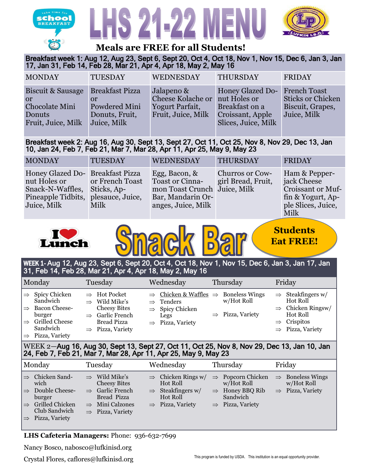





# **Meals are FREE for all Students!**

Breakfast week 1: Aug 12, Aug 23, Sept 6, Sept 20, Oct 4, Oct 18, Nov 1, Nov 15, Dec 6, Jan 3, Jan 17, Jan 31, Feb 14, Feb 28, Mar 21, Apr 4, Apr 18, May 2, May 16

| <b>MONDAY</b>                                                                             | <b>TUESDAY</b>                                 | <b>WEDNESDAY</b>                                                                | <b>THURSDAY</b>                                                                                      | <b>FRIDAY</b>                                                                      |
|-------------------------------------------------------------------------------------------|------------------------------------------------|---------------------------------------------------------------------------------|------------------------------------------------------------------------------------------------------|------------------------------------------------------------------------------------|
| Biscuit & Sausage Breakfast Pizza<br>or<br>Chocolate Mini<br>Donuts<br>Fruit, Juice, Milk | Powdered Mini<br>Donuts, Fruit,<br>Juice, Milk | Jalapeno &<br><b>Cheese Kolache or</b><br>Yogurt Parfait,<br>Fruit, Juice, Milk | <b>Honey Glazed Do-</b><br>nut Holes or<br>Breakfast on a<br>Croissant, Apple<br>Slices, Juice, Milk | <b>French Toast</b><br><b>Sticks or Chicken</b><br>Biscuit, Grapes,<br>Juice, Milk |

## Breakfast week 2: Aug 16, Aug 30, Sept 13, Sept 27, Oct 11, Oct 25, Nov 8, Nov 29, Dec 13, Jan 10, Jan 24, Feb 7, Feb 21, Mar 7, Mar 28, Apr 11, Apr 25, May 9, May 23

| <b>MONDAY</b>                                                                                                        | <b>TUESDAY</b>                              | <b>WEDNESDAY</b>                                                                                                   | <b>THURSDAY</b>                              | <b>FRIDAY</b>                                                                                        |
|----------------------------------------------------------------------------------------------------------------------|---------------------------------------------|--------------------------------------------------------------------------------------------------------------------|----------------------------------------------|------------------------------------------------------------------------------------------------------|
| Honey Glazed Do-Breakfast Pizza<br>nut Holes or<br>Snack-N-Waffles, Sticks, Ap-<br>Pineapple Tidbits,<br>Juice, Milk | or French Toast<br>plesauce, Juice,<br>Milk | Egg, Bacon, &<br><b>Toast or Cinna-</b><br>mon Toast Crunch Juice, Milk<br>Bar, Mandarin Or-<br>anges, Juice, Milk | <b>Churros or Cow-</b><br>girl Bread, Fruit, | Ham & Pepper-<br>jack Cheese<br>Croissant or Muf-<br>fin & Yogurt, Ap-<br>ple Slices, Juice,<br>Milk |





# WEEK 1- Aug 12, Aug 23, Sept 6, Sept 20, Oct 4, Oct 18, Nov 1, Nov 15, Dec 6, Jan 3, Jan 17, Jan 31, Feb 14, Feb 28, Mar 21, Apr 4, Apr 18, May 2, May 16

|                                                 | Monday                                                                                                                                    | Tuesday                                                                                                                                                    | Wednesday                                                                                                                                                    | Thursday                                   | Friday                                                                                                                                                   |
|-------------------------------------------------|-------------------------------------------------------------------------------------------------------------------------------------------|------------------------------------------------------------------------------------------------------------------------------------------------------------|--------------------------------------------------------------------------------------------------------------------------------------------------------------|--------------------------------------------|----------------------------------------------------------------------------------------------------------------------------------------------------------|
| $\Rightarrow$<br>$\Rightarrow$<br>$\Rightarrow$ | Spicy Chicken<br>Sandwich<br>Bacon Cheese-<br>burger<br><b>Grilled Cheese</b><br>Sandwich<br>$\mathbf{D}^*$ $\mathbf{I}^T$ $\mathbf{I}^T$ | $\Rightarrow$ Hot Pocket<br>$\Rightarrow$ Wild Mike's<br><b>Cheesy Bites</b><br>$\Rightarrow$ Garlic French<br>Bread Pizza<br>$\Rightarrow$ Pizza, Variety | $\Rightarrow$ Chicken & Waffles $\Rightarrow$ Boneless Wings<br>$\Rightarrow$ Tenders<br>$\Rightarrow$ Spicy Chicken<br>Legs<br>$\Rightarrow$ Pizza, Variety | w/Hot Roll<br>$\Rightarrow$ Pizza, Variety | $\Rightarrow$ Steakfingers w/<br>Hot Roll<br>$\Rightarrow$ Chicken Ringsw/<br><b>Hot Roll</b><br>$\Rightarrow$ Crispitos<br>$\Rightarrow$ Pizza, Variety |

 $\Rightarrow$  Pizza, Variety

### wEEK 2-Aug 16, Aug 30, Sept 13, Sept 27, Oct 11, Oct 25, Nov 8, Nov 29, Dec 13, Jan 10, Jan and iv, nu<br>Tah 21 Me 24, Feb 7, Feb 21, Mar 7, Mar 28, Apr 11, Apr 25, May 9, May 23

|                                | Monday                                                    | Tuesday                                                     | Wednesday                                  | Thursday                                    | Friday                                     |
|--------------------------------|-----------------------------------------------------------|-------------------------------------------------------------|--------------------------------------------|---------------------------------------------|--------------------------------------------|
| $\Rightarrow$                  | Chicken Sand-<br>wich                                     | $\Rightarrow$ Wild Mike's<br><b>Cheesy Bites</b>            | $\Rightarrow$ Chicken Rings w/<br>Hot Roll | $\Rightarrow$ Popcorn Chicken<br>w/Hot Roll | $\Rightarrow$ Boneless Wings<br>w/Hot Roll |
| $\Rightarrow$                  | Double Cheese-<br>burger                                  | $\Rightarrow$ Garlic French<br>Bread Pizza                  | $\Rightarrow$ Steakfingers w/<br>Hot Roll  | $\Rightarrow$ Honey BBQ Rib<br>Sandwich     | $\Rightarrow$ Pizza, Variety               |
| $\Rightarrow$<br>$\Rightarrow$ | <b>Grilled Chicken</b><br>Club Sandwich<br>Pizza, Variety | $\Rightarrow$ Mini Calzones<br>$\Rightarrow$ Pizza, Variety | $\Rightarrow$ Pizza, Variety               | $\Rightarrow$ Pizza, Variety                |                                            |

#### Orange, 1/2 cup legumes, 1/2 cup **LHS Cafeteria Managers: Phone: 936-632-7699** Each serving is a

Choose 2. Nancy Bosco, nabosco@lufkinisd.org

Crystal Flores, caflores@lufkinisd.org